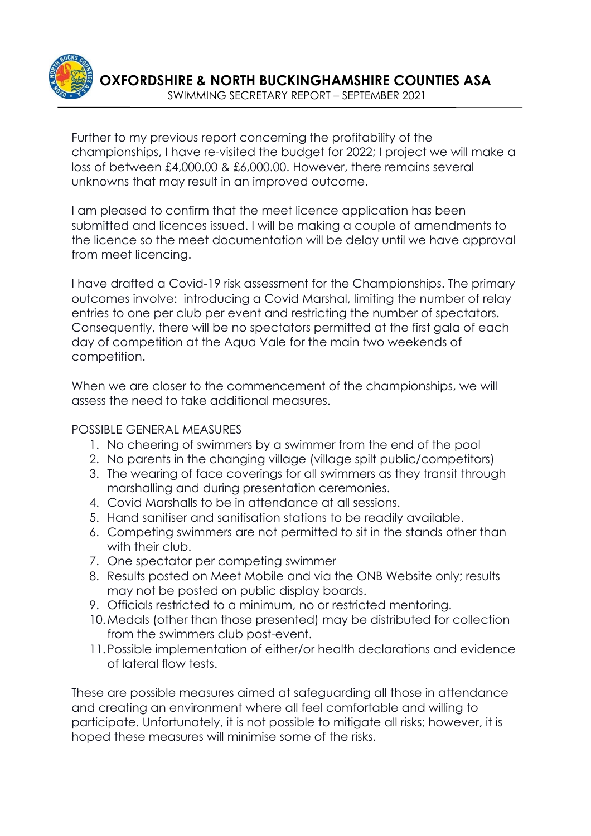

Further to my previous report concerning the profitability of the championships, I have re-visited the budget for 2022; I project we will make a loss of between £4,000.00 & £6,000.00. However, there remains several unknowns that may result in an improved outcome.

I am pleased to confirm that the meet licence application has been submitted and licences issued. I will be making a couple of amendments to the licence so the meet documentation will be delay until we have approval from meet licencing.

I have drafted a Covid-19 risk assessment for the Championships. The primary outcomes involve: introducing a Covid Marshal, limiting the number of relay entries to one per club per event and restricting the number of spectators. Consequently, there will be no spectators permitted at the first gala of each day of competition at the Aqua Vale for the main two weekends of competition.

When we are closer to the commencement of the championships, we will assess the need to take additional measures.

## POSSIBLE GENERAL MEASURES

- 1. No cheering of swimmers by a swimmer from the end of the pool
- 2. No parents in the changing village (village spilt public/competitors)
- 3. The wearing of face coverings for all swimmers as they transit through marshalling and during presentation ceremonies.
- 4. Covid Marshalls to be in attendance at all sessions.
- 5. Hand sanitiser and sanitisation stations to be readily available.
- 6. Competing swimmers are not permitted to sit in the stands other than with their club.
- 7. One spectator per competing swimmer
- 8. Results posted on Meet Mobile and via the ONB Website only; results may not be posted on public display boards.
- 9. Officials restricted to a minimum, no or restricted mentoring.
- 10.Medals (other than those presented) may be distributed for collection from the swimmers club post-event.
- 11.Possible implementation of either/or health declarations and evidence of lateral flow tests.

These are possible measures aimed at safeguarding all those in attendance and creating an environment where all feel comfortable and willing to participate. Unfortunately, it is not possible to mitigate all risks; however, it is hoped these measures will minimise some of the risks.